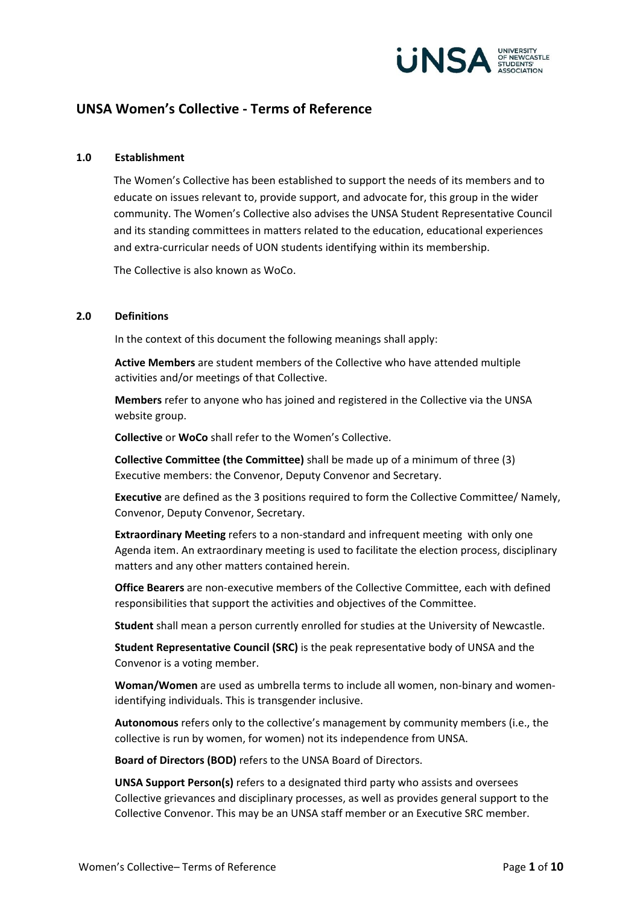

# **UNSA Women's Collective - Terms of Reference**

#### **1.0 Establishment**

The Women's Collective has been established to support the needs of its members and to educate on issues relevant to, provide support, and advocate for, this group in the wider community. The Women's Collective also advises the UNSA Student Representative Council and its standing committees in matters related to the education, educational experiences and extra-curricular needs of UON students identifying within its membership.

The Collective is also known as WoCo.

#### **2.0 Definitions**

In the context of this document the following meanings shall apply:

**Active Members** are student members of the Collective who have attended multiple activities and/or meetings of that Collective.

**Members** refer to anyone who has joined and registered in the Collective via the UNSA website group.

**Collective** or **WoCo** shall refer to the Women's Collective.

**Collective Committee (the Committee)** shall be made up of a minimum of three (3) Executive members: the Convenor, Deputy Convenor and Secretary.

**Executive** are defined as the 3 positions required to form the Collective Committee/ Namely, Convenor, Deputy Convenor, Secretary.

**Extraordinary Meeting** refers to a non-standard and infrequent meeting with only one Agenda item. An extraordinary meeting is used to facilitate the election process, disciplinary matters and any other matters contained herein.

**Office Bearers** are non-executive members of the Collective Committee, each with defined responsibilities that support the activities and objectives of the Committee.

**Student** shall mean a person currently enrolled for studies at the University of Newcastle.

**Student Representative Council (SRC)** is the peak representative body of UNSA and the Convenor is a voting member.

**Woman/Women** are used as umbrella terms to include all women, non-binary and womenidentifying individuals. This is transgender inclusive.

**Autonomous** refers only to the collective's management by community members (i.e., the collective is run by women, for women) not its independence from UNSA.

**Board of Directors (BOD)** refers to the UNSA Board of Directors.

**UNSA Support Person(s)** refers to a designated third party who assists and oversees Collective grievances and disciplinary processes, as well as provides general support to the Collective Convenor. This may be an UNSA staff member or an Executive SRC member.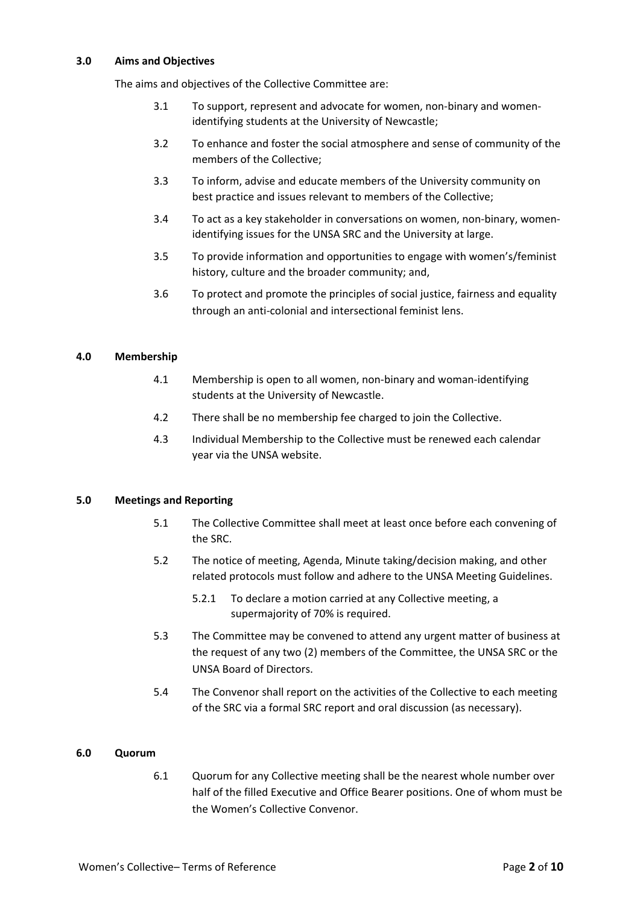#### **3.0 Aims and Objectives**

The aims and objectives of the Collective Committee are:

- 3.1 To support, represent and advocate for women, non-binary and womenidentifying students at the University of Newcastle;
- 3.2 To enhance and foster the social atmosphere and sense of community of the members of the Collective;
- 3.3 To inform, advise and educate members of the University community on best practice and issues relevant to members of the Collective;
- 3.4 To act as a key stakeholder in conversations on women, non-binary, womenidentifying issues for the UNSA SRC and the University at large.
- 3.5 To provide information and opportunities to engage with women's/feminist history, culture and the broader community; and,
- 3.6 To protect and promote the principles of social justice, fairness and equality through an anti-colonial and intersectional feminist lens.

#### **4.0 Membership**

- 4.1 Membership is open to all women, non-binary and woman-identifying students at the University of Newcastle.
- 4.2 There shall be no membership fee charged to join the Collective.
- 4.3 Individual Membership to the Collective must be renewed each calendar year via the UNSA website.

### **5.0 Meetings and Reporting**

- 5.1 The Collective Committee shall meet at least once before each convening of the SRC.
- 5.2 The notice of meeting, Agenda, Minute taking/decision making, and other related protocols must follow and adhere to the UNSA Meeting Guidelines.
	- 5.2.1 To declare a motion carried at any Collective meeting, a supermajority of 70% is required.
- 5.3 The Committee may be convened to attend any urgent matter of business at the request of any two (2) members of the Committee, the UNSA SRC or the UNSA Board of Directors.
- 5.4 The Convenor shall report on the activities of the Collective to each meeting of the SRC via a formal SRC report and oral discussion (as necessary).

#### **6.0 Quorum**

6.1 Quorum for any Collective meeting shall be the nearest whole number over half of the filled Executive and Office Bearer positions. One of whom must be the Women's Collective Convenor.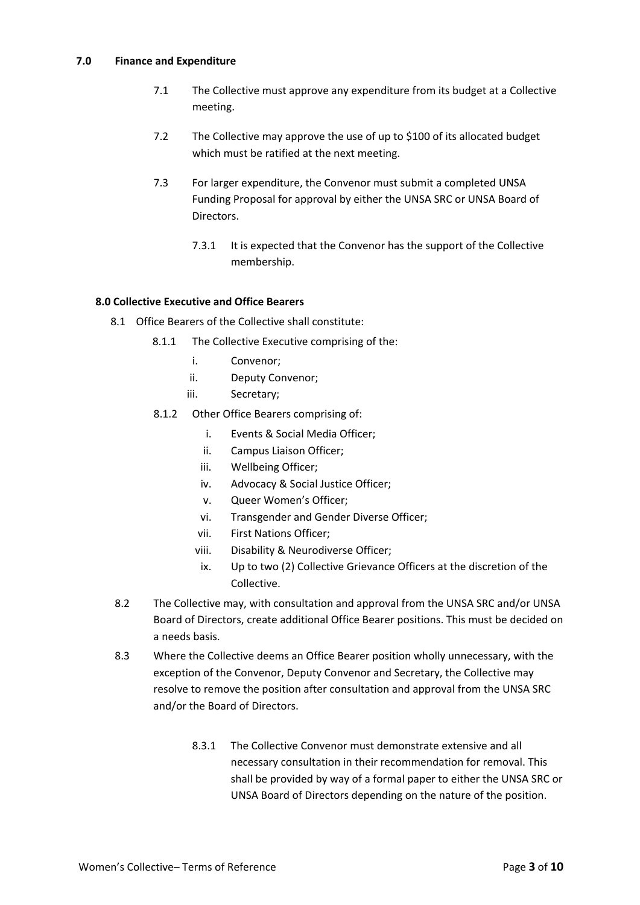### **7.0 Finance and Expenditure**

- 7.1 The Collective must approve any expenditure from its budget at a Collective meeting.
- 7.2 The Collective may approve the use of up to \$100 of its allocated budget which must be ratified at the next meeting.
- 7.3 For larger expenditure, the Convenor must submit a completed UNSA Funding Proposal for approval by either the UNSA SRC or UNSA Board of Directors.
	- 7.3.1 It is expected that the Convenor has the support of the Collective membership.

### **8.0 Collective Executive and Office Bearers**

- 8.1 Office Bearers of the Collective shall constitute:
	- 8.1.1 The Collective Executive comprising of the:
		- i. Convenor;
		- ii. Deputy Convenor;
		- iii. Secretary;
	- 8.1.2 Other Office Bearers comprising of:
		- i. Events & Social Media Officer;
		- ii. Campus Liaison Officer;
		- iii. Wellbeing Officer;
		- iv. Advocacy & Social Justice Officer;
		- v. Queer Women's Officer;
		- vi. Transgender and Gender Diverse Officer;
		- vii. First Nations Officer;
		- viii. Disability & Neurodiverse Officer;
		- ix. Up to two (2) Collective Grievance Officers at the discretion of the Collective.
- 8.2 The Collective may, with consultation and approval from the UNSA SRC and/or UNSA Board of Directors, create additional Office Bearer positions. This must be decided on a needs basis.
- 8.3 Where the Collective deems an Office Bearer position wholly unnecessary, with the exception of the Convenor, Deputy Convenor and Secretary, the Collective may resolve to remove the position after consultation and approval from the UNSA SRC and/or the Board of Directors.
	- 8.3.1 The Collective Convenor must demonstrate extensive and all necessary consultation in their recommendation for removal. This shall be provided by way of a formal paper to either the UNSA SRC or UNSA Board of Directors depending on the nature of the position.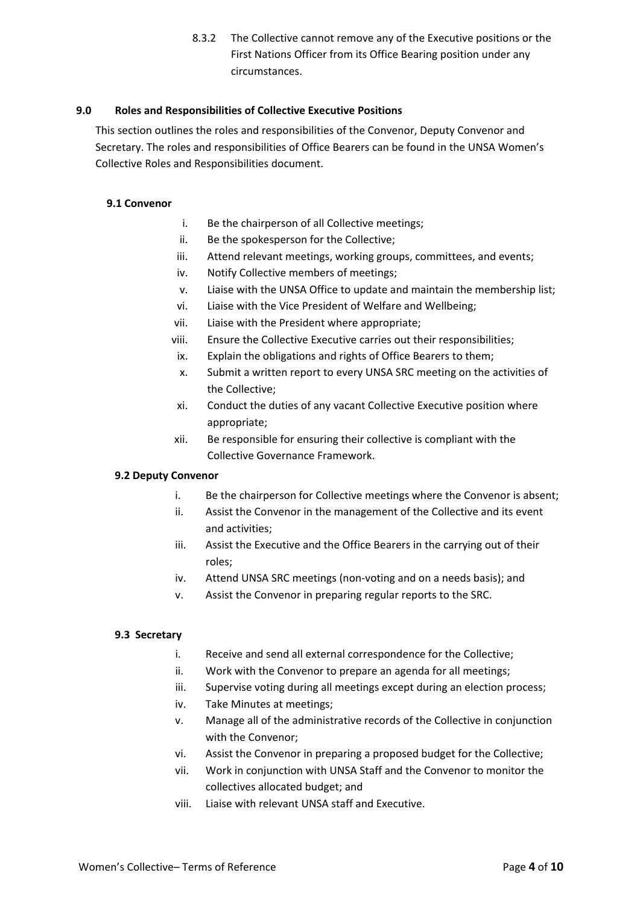8.3.2 The Collective cannot remove any of the Executive positions or the First Nations Officer from its Office Bearing position under any circumstances.

### **9.0 Roles and Responsibilities of Collective Executive Positions**

This section outlines the roles and responsibilities of the Convenor, Deputy Convenor and Secretary. The roles and responsibilities of Office Bearers can be found in the UNSA Women's Collective Roles and Responsibilities document.

### **9.1 Convenor**

- i. Be the chairperson of all Collective meetings;
- ii. Be the spokesperson for the Collective;
- iii. Attend relevant meetings, working groups, committees, and events;
- iv. Notify Collective members of meetings;
- v. Liaise with the UNSA Office to update and maintain the membership list;
- vi. Liaise with the Vice President of Welfare and Wellbeing;
- vii. Liaise with the President where appropriate;
- viii. Ensure the Collective Executive carries out their responsibilities;
- ix. Explain the obligations and rights of Office Bearers to them;
- x. Submit a written report to every UNSA SRC meeting on the activities of the Collective;
- xi. Conduct the duties of any vacant Collective Executive position where appropriate;
- xii. Be responsible for ensuring their collective is compliant with the Collective Governance Framework.

### **9.2 Deputy Convenor**

- i. Be the chairperson for Collective meetings where the Convenor is absent;
- ii. Assist the Convenor in the management of the Collective and its event and activities;
- iii. Assist the Executive and the Office Bearers in the carrying out of their roles;
- iv. Attend UNSA SRC meetings (non-voting and on a needs basis); and
- v. Assist the Convenor in preparing regular reports to the SRC.

### **9.3 Secretary**

- i. Receive and send all external correspondence for the Collective;
- ii. Work with the Convenor to prepare an agenda for all meetings;
- iii. Supervise voting during all meetings except during an election process;
- iv. Take Minutes at meetings;
- v. Manage all of the administrative records of the Collective in conjunction with the Convenor;
- vi. Assist the Convenor in preparing a proposed budget for the Collective;
- vii. Work in conjunction with UNSA Staff and the Convenor to monitor the collectives allocated budget; and
- viii. Liaise with relevant UNSA staff and Executive.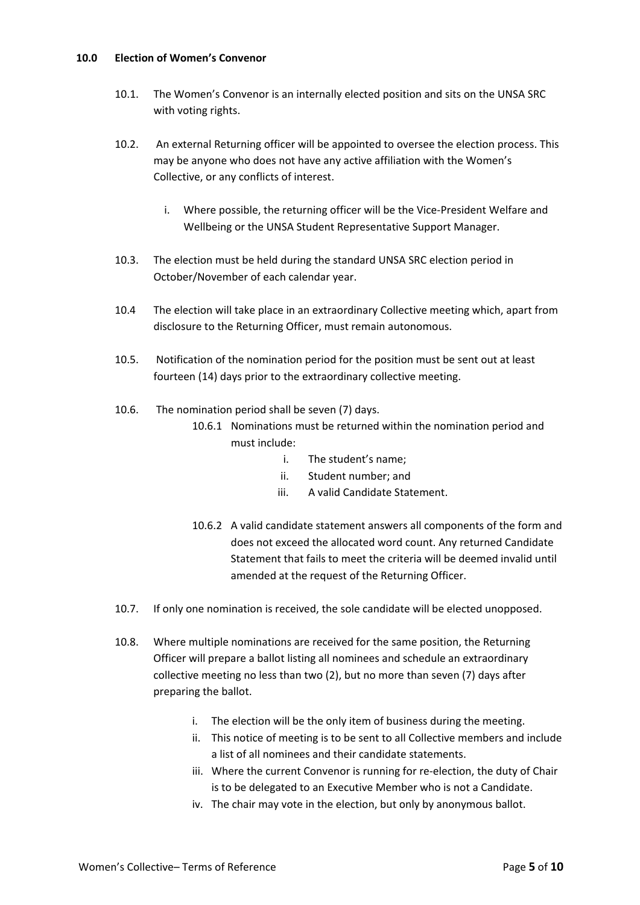#### **10.0 Election of Women's Convenor**

- 10.1. The Women's Convenor is an internally elected position and sits on the UNSA SRC with voting rights.
- 10.2. An external Returning officer will be appointed to oversee the election process. This may be anyone who does not have any active affiliation with the Women's Collective, or any conflicts of interest.
	- i. Where possible, the returning officer will be the Vice-President Welfare and Wellbeing or the UNSA Student Representative Support Manager.
- 10.3. The election must be held during the standard UNSA SRC election period in October/November of each calendar year.
- 10.4 The election will take place in an extraordinary Collective meeting which, apart from disclosure to the Returning Officer, must remain autonomous.
- 10.5. Notification of the nomination period for the position must be sent out at least fourteen (14) days prior to the extraordinary collective meeting.
- 10.6. The nomination period shall be seven (7) days.
	- 10.6.1 Nominations must be returned within the nomination period and must include:
		- i. The student's name;
		- ii. Student number; and
		- iii. A valid Candidate Statement.
	- 10.6.2 A valid candidate statement answers all components of the form and does not exceed the allocated word count. Any returned Candidate Statement that fails to meet the criteria will be deemed invalid until amended at the request of the Returning Officer.
- 10.7. If only one nomination is received, the sole candidate will be elected unopposed.
- 10.8. Where multiple nominations are received for the same position, the Returning Officer will prepare a ballot listing all nominees and schedule an extraordinary collective meeting no less than two (2), but no more than seven (7) days after preparing the ballot.
	- i. The election will be the only item of business during the meeting.
	- ii. This notice of meeting is to be sent to all Collective members and include a list of all nominees and their candidate statements.
	- iii. Where the current Convenor is running for re-election, the duty of Chair is to be delegated to an Executive Member who is not a Candidate.
	- iv. The chair may vote in the election, but only by anonymous ballot.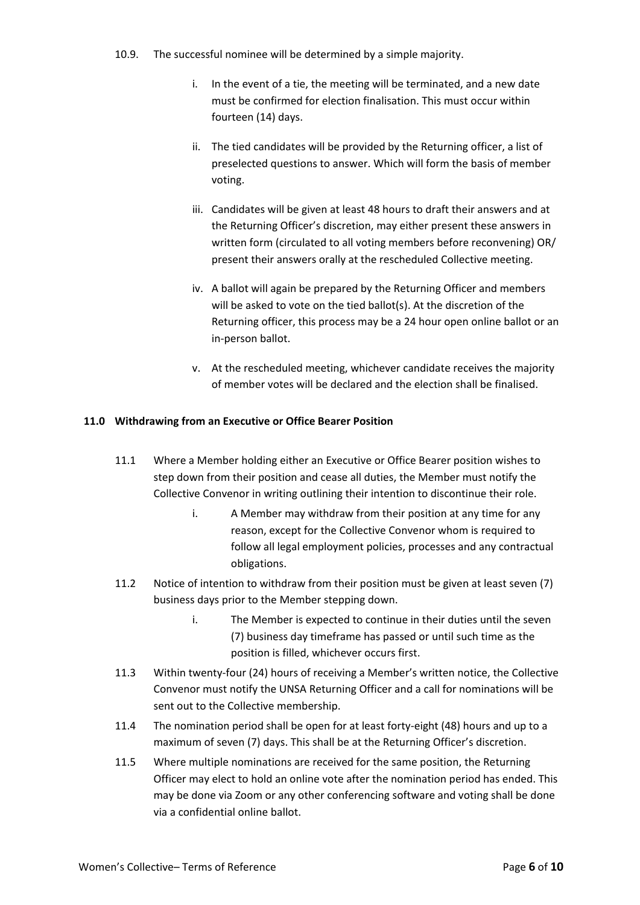- 10.9. The successful nominee will be determined by a simple majority.
	- i. In the event of a tie, the meeting will be terminated, and a new date must be confirmed for election finalisation. This must occur within fourteen (14) days.
	- ii. The tied candidates will be provided by the Returning officer, a list of preselected questions to answer. Which will form the basis of member voting.
	- iii. Candidates will be given at least 48 hours to draft their answers and at the Returning Officer's discretion, may either present these answers in written form (circulated to all voting members before reconvening) OR/ present their answers orally at the rescheduled Collective meeting.
	- iv. A ballot will again be prepared by the Returning Officer and members will be asked to vote on the tied ballot(s). At the discretion of the Returning officer, this process may be a 24 hour open online ballot or an in-person ballot.
	- v. At the rescheduled meeting, whichever candidate receives the majority of member votes will be declared and the election shall be finalised.

# **11.0 Withdrawing from an Executive or Office Bearer Position**

- 11.1 Where a Member holding either an Executive or Office Bearer position wishes to step down from their position and cease all duties, the Member must notify the Collective Convenor in writing outlining their intention to discontinue their role.
	- i. A Member may withdraw from their position at any time for any reason, except for the Collective Convenor whom is required to follow all legal employment policies, processes and any contractual obligations.
- 11.2 Notice of intention to withdraw from their position must be given at least seven (7) business days prior to the Member stepping down.
	- i. The Member is expected to continue in their duties until the seven (7) business day timeframe has passed or until such time as the position is filled, whichever occurs first.
- 11.3 Within twenty-four (24) hours of receiving a Member's written notice, the Collective Convenor must notify the UNSA Returning Officer and a call for nominations will be sent out to the Collective membership.
- 11.4 The nomination period shall be open for at least forty-eight (48) hours and up to a maximum of seven (7) days. This shall be at the Returning Officer's discretion.
- 11.5 Where multiple nominations are received for the same position, the Returning Officer may elect to hold an online vote after the nomination period has ended. This may be done via Zoom or any other conferencing software and voting shall be done via a confidential online ballot.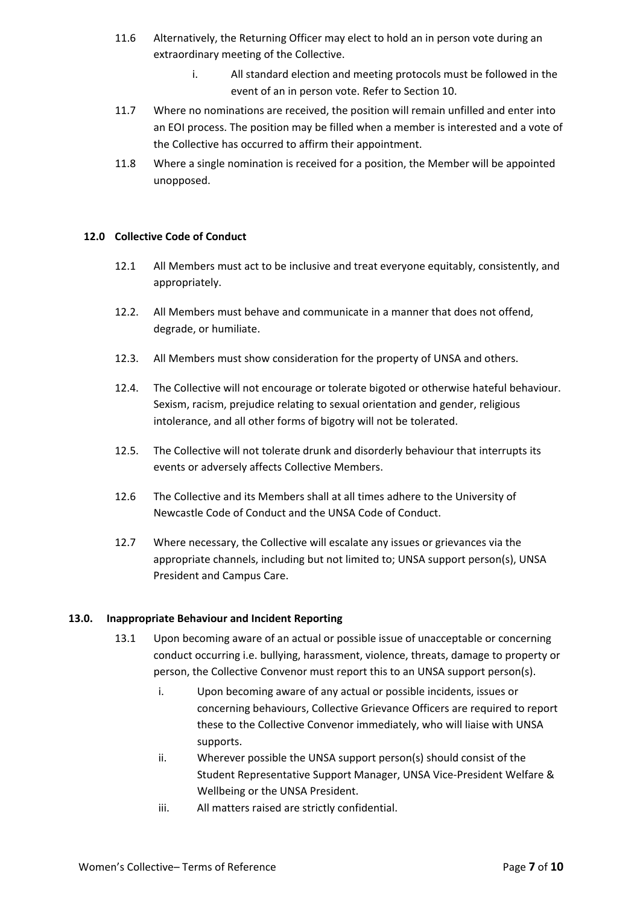- 11.6 Alternatively, the Returning Officer may elect to hold an in person vote during an extraordinary meeting of the Collective.
	- i. All standard election and meeting protocols must be followed in the event of an in person vote. Refer to Section 10.
- 11.7 Where no nominations are received, the position will remain unfilled and enter into an EOI process. The position may be filled when a member is interested and a vote of the Collective has occurred to affirm their appointment.
- 11.8 Where a single nomination is received for a position, the Member will be appointed unopposed.

### **12.0 Collective Code of Conduct**

- 12.1 All Members must act to be inclusive and treat everyone equitably, consistently, and appropriately.
- 12.2. All Members must behave and communicate in a manner that does not offend, degrade, or humiliate.
- 12.3. All Members must show consideration for the property of UNSA and others.
- 12.4. The Collective will not encourage or tolerate bigoted or otherwise hateful behaviour. Sexism, racism, prejudice relating to sexual orientation and gender, religious intolerance, and all other forms of bigotry will not be tolerated.
- 12.5. The Collective will not tolerate drunk and disorderly behaviour that interrupts its events or adversely affects Collective Members.
- 12.6 The Collective and its Members shall at all times adhere to the University of Newcastle Code of Conduct and the UNSA Code of Conduct.
- 12.7 Where necessary, the Collective will escalate any issues or grievances via the appropriate channels, including but not limited to; UNSA support person(s), UNSA President and Campus Care.

# **13.0. Inappropriate Behaviour and Incident Reporting**

- 13.1 Upon becoming aware of an actual or possible issue of unacceptable or concerning conduct occurring i.e. bullying, harassment, violence, threats, damage to property or person, the Collective Convenor must report this to an UNSA support person(s).
	- i. Upon becoming aware of any actual or possible incidents, issues or concerning behaviours, Collective Grievance Officers are required to report these to the Collective Convenor immediately, who will liaise with UNSA supports.
	- ii. Wherever possible the UNSA support person(s) should consist of the Student Representative Support Manager, UNSA Vice-President Welfare & Wellbeing or the UNSA President.
	- iii. All matters raised are strictly confidential.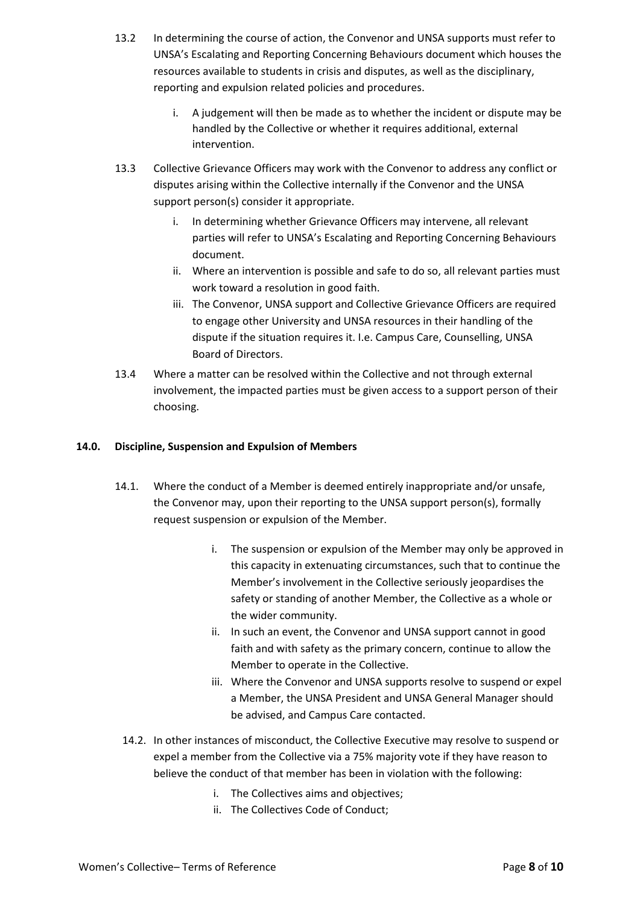- 13.2 In determining the course of action, the Convenor and UNSA supports must refer to UNSA's Escalating and Reporting Concerning Behaviours document which houses the resources available to students in crisis and disputes, as well as the disciplinary, reporting and expulsion related policies and procedures.
	- i. A judgement will then be made as to whether the incident or dispute may be handled by the Collective or whether it requires additional, external intervention.
- 13.3 Collective Grievance Officers may work with the Convenor to address any conflict or disputes arising within the Collective internally if the Convenor and the UNSA support person(s) consider it appropriate.
	- i. In determining whether Grievance Officers may intervene, all relevant parties will refer to UNSA's Escalating and Reporting Concerning Behaviours document.
	- ii. Where an intervention is possible and safe to do so, all relevant parties must work toward a resolution in good faith.
	- iii. The Convenor, UNSA support and Collective Grievance Officers are required to engage other University and UNSA resources in their handling of the dispute if the situation requires it. I.e. Campus Care, Counselling, UNSA Board of Directors.
- 13.4 Where a matter can be resolved within the Collective and not through external involvement, the impacted parties must be given access to a support person of their choosing.

# **14.0. Discipline, Suspension and Expulsion of Members**

- 14.1. Where the conduct of a Member is deemed entirely inappropriate and/or unsafe, the Convenor may, upon their reporting to the UNSA support person(s), formally request suspension or expulsion of the Member.
	- i. The suspension or expulsion of the Member may only be approved in this capacity in extenuating circumstances, such that to continue the Member's involvement in the Collective seriously jeopardises the safety or standing of another Member, the Collective as a whole or the wider community.
	- ii. In such an event, the Convenor and UNSA support cannot in good faith and with safety as the primary concern, continue to allow the Member to operate in the Collective.
	- iii. Where the Convenor and UNSA supports resolve to suspend or expel a Member, the UNSA President and UNSA General Manager should be advised, and Campus Care contacted.
	- 14.2. In other instances of misconduct, the Collective Executive may resolve to suspend or expel a member from the Collective via a 75% majority vote if they have reason to believe the conduct of that member has been in violation with the following:
		- i. The Collectives aims and objectives;
		- ii. The Collectives Code of Conduct;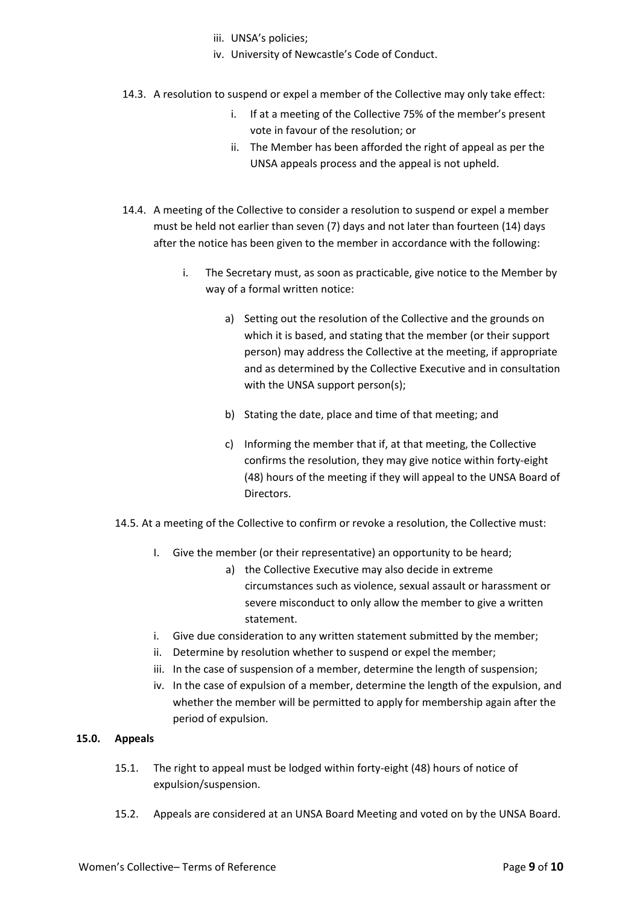- iii. UNSA's policies;
- iv. University of Newcastle's Code of Conduct.
- 14.3. A resolution to suspend or expel a member of the Collective may only take effect:
	- i. If at a meeting of the Collective 75% of the member's present vote in favour of the resolution; or
	- ii. The Member has been afforded the right of appeal as per the UNSA appeals process and the appeal is not upheld.
- 14.4. A meeting of the Collective to consider a resolution to suspend or expel a member must be held not earlier than seven (7) days and not later than fourteen (14) days after the notice has been given to the member in accordance with the following:
	- i. The Secretary must, as soon as practicable, give notice to the Member by way of a formal written notice:
		- a) Setting out the resolution of the Collective and the grounds on which it is based, and stating that the member (or their support person) may address the Collective at the meeting, if appropriate and as determined by the Collective Executive and in consultation with the UNSA support person(s);
		- b) Stating the date, place and time of that meeting; and
		- c) Informing the member that if, at that meeting, the Collective confirms the resolution, they may give notice within forty-eight (48) hours of the meeting if they will appeal to the UNSA Board of Directors.
- 14.5. At a meeting of the Collective to confirm or revoke a resolution, the Collective must:
	- I. Give the member (or their representative) an opportunity to be heard;
		- a) the Collective Executive may also decide in extreme circumstances such as violence, sexual assault or harassment or severe misconduct to only allow the member to give a written statement.
	- i. Give due consideration to any written statement submitted by the member;
	- ii. Determine by resolution whether to suspend or expel the member;
	- iii. In the case of suspension of a member, determine the length of suspension;
	- iv. In the case of expulsion of a member, determine the length of the expulsion, and whether the member will be permitted to apply for membership again after the period of expulsion.

# **15.0. Appeals**

- 15.1. The right to appeal must be lodged within forty-eight (48) hours of notice of expulsion/suspension.
- 15.2. Appeals are considered at an UNSA Board Meeting and voted on by the UNSA Board.